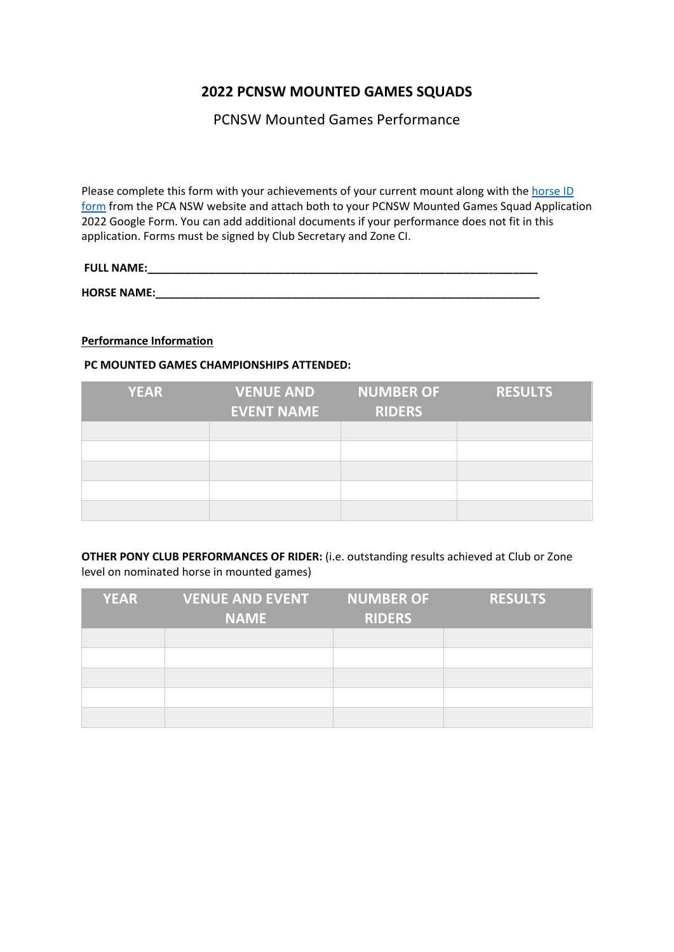# **2022 PCNSW MOUNTED GAMES SQUADS**

PCNSW Mounted Games Performance

Please complete this form with your achievements of your current mount along with the [horse](https://pcansw.org.au/docs/general/72/2017_championship_schedule_gravesend_19.pdf) ID [form](https://pcansw.org.au/docs/general/72/2017_championship_schedule_gravesend_19.pdf) from the PCA NSW website and attach both to your PCNSW Mounted Games Squad Application 2022 Google Form. You can add additional documents if your performance does not fit in this application. Forms must be signed by Club Secretary and Zone CI.

# **FULL NAME:\_\_\_\_\_\_\_\_\_\_\_\_\_\_\_\_\_\_\_\_\_\_\_\_\_\_\_\_\_\_\_\_\_\_\_\_\_\_\_\_\_\_\_\_\_\_\_\_\_\_\_\_\_\_\_\_\_\_\_\_\_\_\_**

**HORSE NAME:\_\_\_\_\_\_\_\_\_\_\_\_\_\_\_\_\_\_\_\_\_\_\_\_\_\_\_\_\_\_\_\_\_\_\_\_\_\_\_\_\_\_\_\_\_\_\_\_\_\_\_\_\_\_\_\_\_\_\_\_\_\_**

## **Performance Information**

### **PC MOUNTED GAMES CHAMPIONSHIPS ATTENDED:**

| <b>YEAR</b> | <b>VENUE AND</b>  | <b>NUMBER OF</b> | <b>RESULTS</b> |
|-------------|-------------------|------------------|----------------|
|             | <b>EVENT NAME</b> | <b>RIDERS</b>    |                |
|             |                   |                  |                |
|             |                   |                  |                |
|             |                   |                  |                |
|             |                   |                  |                |
|             |                   |                  |                |

**OTHER PONY CLUB PERFORMANCES OF RIDER:** (i.e. outstanding results achieved at Club or Zone level on nominated horse in mounted games)

| <b>YEAR</b> | <b>VENUE AND EVENT</b><br><b>NAME</b> | <b>NUMBER OF</b><br><b>RIDERS</b> | <b>RESULTS</b> |
|-------------|---------------------------------------|-----------------------------------|----------------|
|             |                                       |                                   |                |
|             |                                       |                                   |                |
|             |                                       |                                   |                |
|             |                                       |                                   |                |
|             |                                       |                                   |                |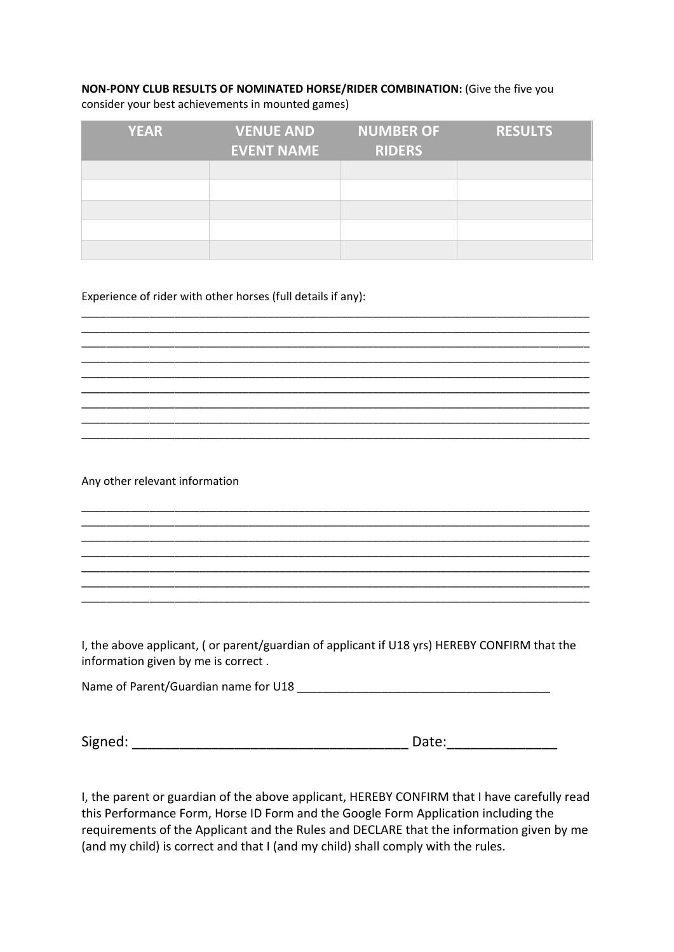### **NON-PONY CLUB RESULTS OF NOMINATED HORSE/RIDER COMBINATION:** (Give the five you consider your best achievements in mounted games)

| <b>YEAR</b> | <b>VENUE AND</b>  | <b>NUMBER OF</b> | <b>RESULTS</b> |
|-------------|-------------------|------------------|----------------|
|             | <b>EVENT NAME</b> | <b>RIDERS</b>    |                |
|             |                   |                  |                |
|             |                   |                  |                |
|             |                   |                  |                |
|             |                   |                  |                |
|             |                   |                  |                |

\_\_\_\_\_\_\_\_\_\_\_\_\_\_\_\_\_\_\_\_\_\_\_\_\_\_\_\_\_\_\_\_\_\_\_\_\_\_\_\_\_\_\_\_\_\_\_\_\_\_\_\_\_\_\_\_\_\_\_\_\_\_\_\_\_\_\_\_\_\_\_\_\_\_\_\_\_\_\_\_\_\_ \_\_\_\_\_\_\_\_\_\_\_\_\_\_\_\_\_\_\_\_\_\_\_\_\_\_\_\_\_\_\_\_\_\_\_\_\_\_\_\_\_\_\_\_\_\_\_\_\_\_\_\_\_\_\_\_\_\_\_\_\_\_\_\_\_\_\_\_\_\_\_\_\_\_\_\_\_\_\_\_\_\_ \_\_\_\_\_\_\_\_\_\_\_\_\_\_\_\_\_\_\_\_\_\_\_\_\_\_\_\_\_\_\_\_\_\_\_\_\_\_\_\_\_\_\_\_\_\_\_\_\_\_\_\_\_\_\_\_\_\_\_\_\_\_\_\_\_\_\_\_\_\_\_\_\_\_\_\_\_\_\_\_\_\_ \_\_\_\_\_\_\_\_\_\_\_\_\_\_\_\_\_\_\_\_\_\_\_\_\_\_\_\_\_\_\_\_\_\_\_\_\_\_\_\_\_\_\_\_\_\_\_\_\_\_\_\_\_\_\_\_\_\_\_\_\_\_\_\_\_\_\_\_\_\_\_\_\_\_\_\_\_\_\_\_\_\_ \_\_\_\_\_\_\_\_\_\_\_\_\_\_\_\_\_\_\_\_\_\_\_\_\_\_\_\_\_\_\_\_\_\_\_\_\_\_\_\_\_\_\_\_\_\_\_\_\_\_\_\_\_\_\_\_\_\_\_\_\_\_\_\_\_\_\_\_\_\_\_\_\_\_\_\_\_\_\_\_\_\_ \_\_\_\_\_\_\_\_\_\_\_\_\_\_\_\_\_\_\_\_\_\_\_\_\_\_\_\_\_\_\_\_\_\_\_\_\_\_\_\_\_\_\_\_\_\_\_\_\_\_\_\_\_\_\_\_\_\_\_\_\_\_\_\_\_\_\_\_\_\_\_\_\_\_\_\_\_\_\_\_\_\_ \_\_\_\_\_\_\_\_\_\_\_\_\_\_\_\_\_\_\_\_\_\_\_\_\_\_\_\_\_\_\_\_\_\_\_\_\_\_\_\_\_\_\_\_\_\_\_\_\_\_\_\_\_\_\_\_\_\_\_\_\_\_\_\_\_\_\_\_\_\_\_\_\_\_\_\_\_\_\_\_\_\_ \_\_\_\_\_\_\_\_\_\_\_\_\_\_\_\_\_\_\_\_\_\_\_\_\_\_\_\_\_\_\_\_\_\_\_\_\_\_\_\_\_\_\_\_\_\_\_\_\_\_\_\_\_\_\_\_\_\_\_\_\_\_\_\_\_\_\_\_\_\_\_\_\_\_\_\_\_\_\_\_\_\_ \_\_\_\_\_\_\_\_\_\_\_\_\_\_\_\_\_\_\_\_\_\_\_\_\_\_\_\_\_\_\_\_\_\_\_\_\_\_\_\_\_\_\_\_\_\_\_\_\_\_\_\_\_\_\_\_\_\_\_\_\_\_\_\_\_\_\_\_\_\_\_\_\_\_\_\_\_\_\_\_\_\_

Experience of rider with other horses (full details if any):

Any other relevant information

I, the above applicant, ( or parent/guardian of applicant if U18 yrs) HEREBY CONFIRM that the information given by me is correct .

\_\_\_\_\_\_\_\_\_\_\_\_\_\_\_\_\_\_\_\_\_\_\_\_\_\_\_\_\_\_\_\_\_\_\_\_\_\_\_\_\_\_\_\_\_\_\_\_\_\_\_\_\_\_\_\_\_\_\_\_\_\_\_\_\_\_\_\_\_\_\_\_\_\_\_\_\_\_\_\_\_\_

\_\_\_\_\_\_\_\_\_\_\_\_\_\_\_\_\_\_\_\_\_\_\_\_\_\_\_\_\_\_\_\_\_\_\_\_\_\_\_\_\_\_\_\_\_\_\_\_\_\_\_\_\_\_\_\_\_\_\_\_\_\_\_\_\_\_\_\_\_\_\_\_\_\_\_\_\_\_\_\_\_\_ \_\_\_\_\_\_\_\_\_\_\_\_\_\_\_\_\_\_\_\_\_\_\_\_\_\_\_\_\_\_\_\_\_\_\_\_\_\_\_\_\_\_\_\_\_\_\_\_\_\_\_\_\_\_\_\_\_\_\_\_\_\_\_\_\_\_\_\_\_\_\_\_\_\_\_\_\_\_\_\_\_\_ \_\_\_\_\_\_\_\_\_\_\_\_\_\_\_\_\_\_\_\_\_\_\_\_\_\_\_\_\_\_\_\_\_\_\_\_\_\_\_\_\_\_\_\_\_\_\_\_\_\_\_\_\_\_\_\_\_\_\_\_\_\_\_\_\_\_\_\_\_\_\_\_\_\_\_\_\_\_\_\_\_\_ \_\_\_\_\_\_\_\_\_\_\_\_\_\_\_\_\_\_\_\_\_\_\_\_\_\_\_\_\_\_\_\_\_\_\_\_\_\_\_\_\_\_\_\_\_\_\_\_\_\_\_\_\_\_\_\_\_\_\_\_\_\_\_\_\_\_\_\_\_\_\_\_\_\_\_\_\_\_\_\_\_\_ \_\_\_\_\_\_\_\_\_\_\_\_\_\_\_\_\_\_\_\_\_\_\_\_\_\_\_\_\_\_\_\_\_\_\_\_\_\_\_\_\_\_\_\_\_\_\_\_\_\_\_\_\_\_\_\_\_\_\_\_\_\_\_\_\_\_\_\_\_\_\_\_\_\_\_\_\_\_\_\_\_\_

\_\_\_\_\_\_\_\_\_\_\_\_\_\_\_\_\_\_\_\_\_\_\_\_\_\_\_\_\_\_\_\_\_\_\_\_\_\_\_\_\_\_\_\_\_\_\_\_\_\_\_\_\_\_\_\_\_\_\_\_\_\_\_\_\_\_\_\_\_\_\_\_\_\_\_\_\_\_\_\_\_\_

Name of Parent/Guardian name for U18

Signed: \_\_\_\_\_\_\_\_\_\_\_\_\_\_\_\_\_\_\_\_\_\_\_\_\_\_\_\_\_\_\_\_\_\_\_ Date:\_\_\_\_\_\_\_\_\_\_\_\_\_\_

I, the parent or guardian of the above applicant, HEREBY CONFIRM that I have carefully read this Performance Form, Horse ID Form and the Google Form Application including the requirements of the Applicant and the Rules and DECLARE that the information given by me (and my child) is correct and that I (and my child) shall comply with the rules.